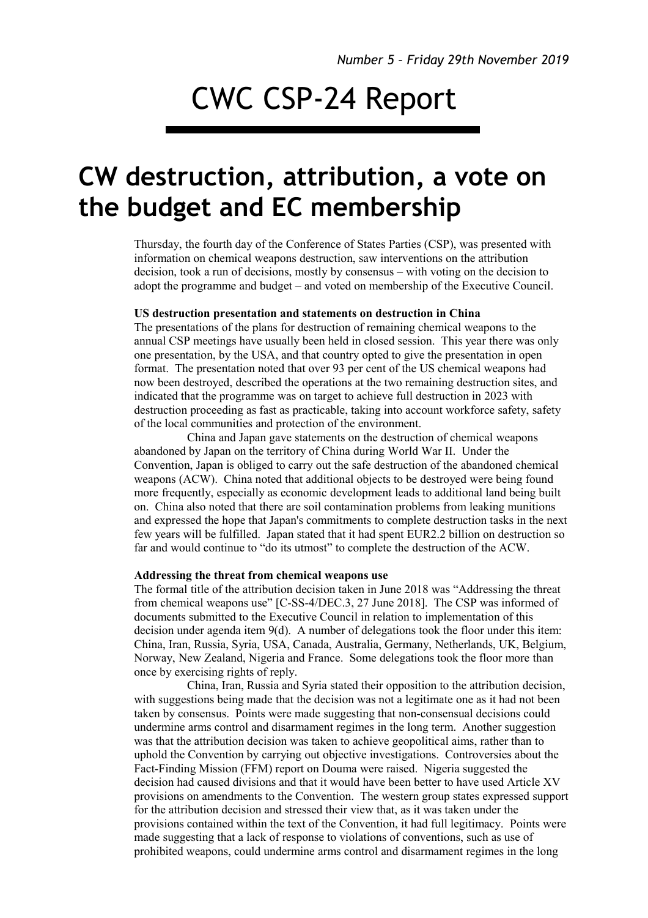# CWC CSP-24 Report

# **CW destruction, attribution, a vote on the budget and EC membership**

Thursday, the fourth day of the Conference of States Parties (CSP), was presented with information on chemical weapons destruction, saw interventions on the attribution decision, took a run of decisions, mostly by consensus – with voting on the decision to adopt the programme and budget – and voted on membership of the Executive Council.

## **US destruction presentation and statements on destruction in China**

The presentations of the plans for destruction of remaining chemical weapons to the annual CSP meetings have usually been held in closed session. This year there was only one presentation, by the USA, and that country opted to give the presentation in open format. The presentation noted that over 93 per cent of the US chemical weapons had now been destroyed, described the operations at the two remaining destruction sites, and indicated that the programme was on target to achieve full destruction in 2023 with destruction proceeding as fast as practicable, taking into account workforce safety, safety of the local communities and protection of the environment.

China and Japan gave statements on the destruction of chemical weapons abandoned by Japan on the territory of China during World War II. Under the Convention, Japan is obliged to carry out the safe destruction of the abandoned chemical weapons (ACW). China noted that additional objects to be destroyed were being found more frequently, especially as economic development leads to additional land being built on. China also noted that there are soil contamination problems from leaking munitions and expressed the hope that Japan's commitments to complete destruction tasks in the next few years will be fulfilled. Japan stated that it had spent EUR2.2 billion on destruction so far and would continue to "do its utmost" to complete the destruction of the ACW.

#### **Addressing the threat from chemical weapons use**

The formal title of the attribution decision taken in June 2018 was "Addressing the threat from chemical weapons use" [C-SS-4/DEC.3, 27 June 2018]. The CSP was informed of documents submitted to the Executive Council in relation to implementation of this decision under agenda item 9(d). A number of delegations took the floor under this item: China, Iran, Russia, Syria, USA, Canada, Australia, Germany, Netherlands, UK, Belgium, Norway, New Zealand, Nigeria and France. Some delegations took the floor more than once by exercising rights of reply.

China, Iran, Russia and Syria stated their opposition to the attribution decision, with suggestions being made that the decision was not a legitimate one as it had not been taken by consensus. Points were made suggesting that non-consensual decisions could undermine arms control and disarmament regimes in the long term. Another suggestion was that the attribution decision was taken to achieve geopolitical aims, rather than to uphold the Convention by carrying out objective investigations. Controversies about the Fact-Finding Mission (FFM) report on Douma were raised. Nigeria suggested the decision had caused divisions and that it would have been better to have used Article XV provisions on amendments to the Convention. The western group states expressed support for the attribution decision and stressed their view that, as it was taken under the provisions contained within the text of the Convention, it had full legitimacy. Points were made suggesting that a lack of response to violations of conventions, such as use of prohibited weapons, could undermine arms control and disarmament regimes in the long